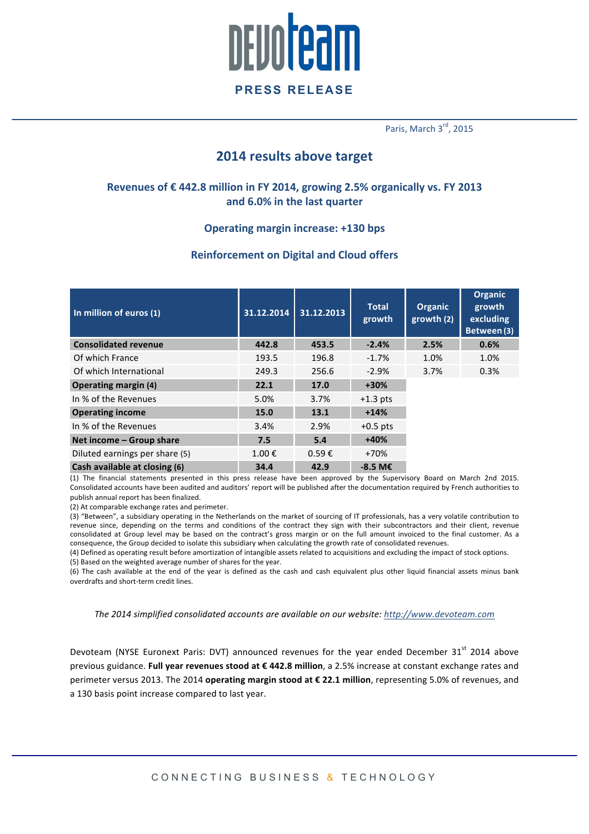

Paris, March 3rd, 2015

## **2014 results above target**

## Revenues of € 442.8 million in FY 2014, growing 2.5% organically vs. FY 2013 and 6.0% in the last quarter

### **Operating margin increase: +130 bps**

## **Reinforcement on Digital and Cloud offers**

| In million of euros (1)        | 31.12.2014 | 31.12.2013      | <b>Total</b><br>growth | <b>Organic</b><br>growth (2) | Organic<br>growth<br>excluding<br>Between (3) |
|--------------------------------|------------|-----------------|------------------------|------------------------------|-----------------------------------------------|
| <b>Consolidated revenue</b>    | 442.8      | 453.5           | $-2.4%$                | 2.5%                         | 0.6%                                          |
| Of which France                | 193.5      | 196.8           | $-1.7%$                | 1.0%                         | 1.0%                                          |
| Of which International         | 249.3      | 256.6           | $-2.9%$                | 3.7%                         | 0.3%                                          |
| <b>Operating margin (4)</b>    | 22.1       | 17.0            | $+30%$                 |                              |                                               |
| In % of the Revenues           | 5.0%       | 3.7%            | $+1.3$ pts             |                              |                                               |
| <b>Operating income</b>        | 15.0       | 13.1            | $+14%$                 |                              |                                               |
| In % of the Revenues           | 3.4%       | 2.9%            | $+0.5$ pts             |                              |                                               |
| Net income - Group share       | 7.5        | 5.4             | $+40%$                 |                              |                                               |
| Diluted earnings per share (5) | 1.00€      | $0.59 \epsilon$ | $+70%$                 |                              |                                               |
| Cash available at closing (6)  | 34.4       | 42.9            | $-8.5$ M <sub>€</sub>  |                              |                                               |

(1) The financial statements presented in this press release have been approved by the Supervisory Board on March 2nd 2015. Consolidated accounts have been audited and auditors' report will be published after the documentation required by French authorities to publish annual report has been finalized.

(2) At comparable exchange rates and perimeter

(3) "Between", a subsidiary operating in the Netherlands on the market of sourcing of IT professionals, has a very volatile contribution to revenue since, depending on the terms and conditions of the contract they sign with their subcontractors and their client, revenue consolidated at Group level may be based on the contract's gross margin or on the full amount invoiced to the final customer. As a consequence, the Group decided to isolate this subsidiary when calculating the growth rate of consolidated revenues.

(4) Defined as operating result before amortization of intangible assets related to acquisitions and excluding the impact of stock options. (5) Based on the weighted average number of shares for the year.

(6) The cash available at the end of the year is defined as the cash and cash equivalent plus other liquid financial assets minus bank overdrafts and short-term credit lines.

*The 2014 simplified consolidated accounts are available on our website: http://www.devoteam.com*

Devoteam (NYSE Euronext Paris: DVT) announced revenues for the year ended December 31<sup>st</sup> 2014 above previous guidance. Full year revenues stood at € 442.8 million, a 2.5% increase at constant exchange rates and perimeter versus 2013. The 2014 **operating margin stood at € 22.1 million**, representing 5.0% of revenues, and a 130 basis point increase compared to last year.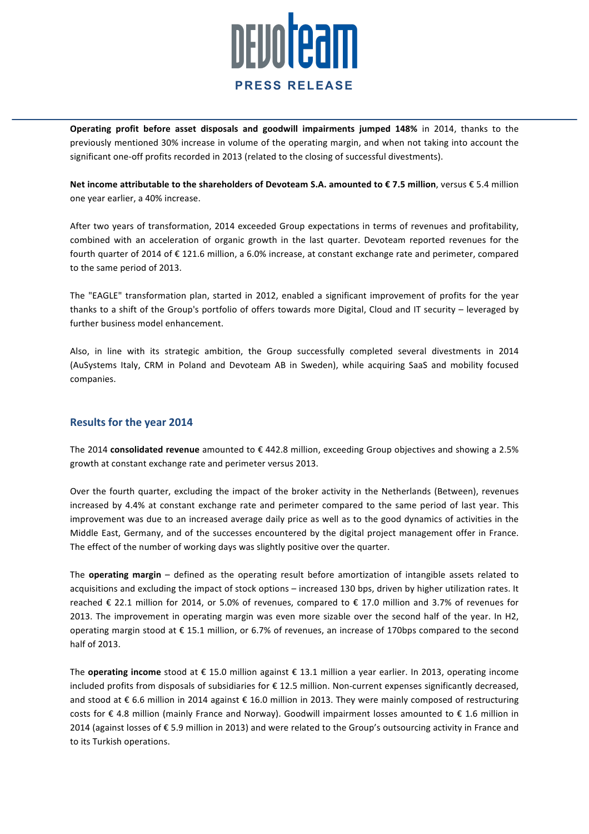

**Operating profit before asset disposals and goodwill impairments jumped 148%** in 2014, thanks to the previously mentioned 30% increase in volume of the operating margin, and when not taking into account the significant one-off profits recorded in 2013 (related to the closing of successful divestments).

**Net income attributable to the shareholders of Devoteam S.A. amounted to € 7.5 million**, versus € 5.4 million one year earlier, a 40% increase.

After two years of transformation, 2014 exceeded Group expectations in terms of revenues and profitability, combined with an acceleration of organic growth in the last quarter. Devoteam reported revenues for the fourth quarter of 2014 of € 121.6 million, a 6.0% increase, at constant exchange rate and perimeter, compared to the same period of 2013.

The "EAGLE" transformation plan, started in 2012, enabled a significant improvement of profits for the year thanks to a shift of the Group's portfolio of offers towards more Digital, Cloud and IT security – leveraged by further business model enhancement.

Also, in line with its strategic ambition, the Group successfully completed several divestments in 2014 (AuSystems Italy, CRM in Poland and Devoteam AB in Sweden), while acquiring SaaS and mobility focused companies.

### **Results for the year 2014**

The 2014 **consolidated revenue** amounted to € 442.8 million, exceeding Group objectives and showing a 2.5% growth at constant exchange rate and perimeter versus 2013.

Over the fourth quarter, excluding the impact of the broker activity in the Netherlands (Between), revenues increased by 4.4% at constant exchange rate and perimeter compared to the same period of last year. This improvement was due to an increased average daily price as well as to the good dynamics of activities in the Middle East, Germany, and of the successes encountered by the digital project management offer in France. The effect of the number of working days was slightly positive over the quarter.

The **operating margin** – defined as the operating result before amortization of intangible assets related to acquisitions and excluding the impact of stock options – increased 130 bps, driven by higher utilization rates. It reached  $\epsilon$  22.1 million for 2014, or 5.0% of revenues, compared to  $\epsilon$  17.0 million and 3.7% of revenues for 2013. The improvement in operating margin was even more sizable over the second half of the year. In H2, operating margin stood at  $\epsilon$  15.1 million, or 6.7% of revenues, an increase of 170bps compared to the second half of 2013.

The **operating income** stood at € 15.0 million against € 13.1 million a year earlier. In 2013, operating income included profits from disposals of subsidiaries for € 12.5 million. Non-current expenses significantly decreased, and stood at € 6.6 million in 2014 against € 16.0 million in 2013. They were mainly composed of restructuring costs for  $\epsilon$  4.8 million (mainly France and Norway). Goodwill impairment losses amounted to  $\epsilon$  1.6 million in 2014 (against losses of € 5.9 million in 2013) and were related to the Group's outsourcing activity in France and to its Turkish operations.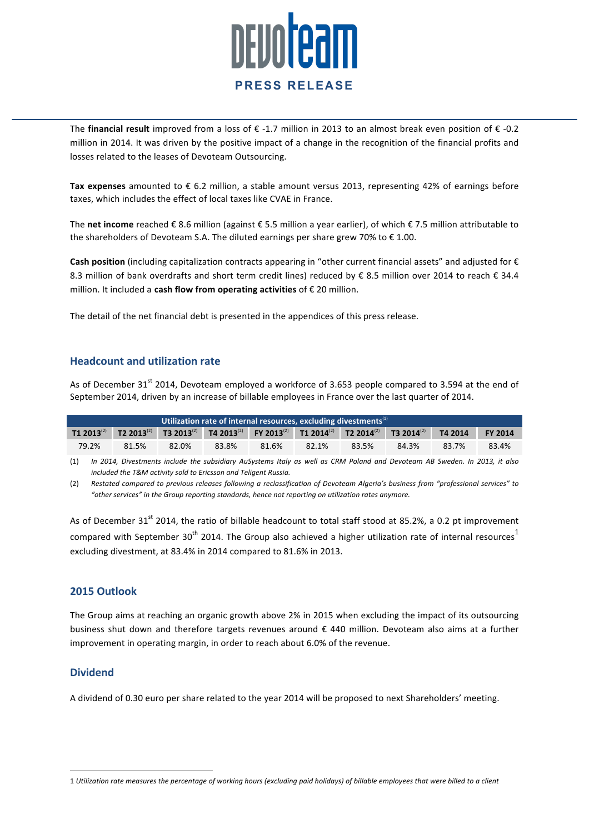

The **financial result** improved from a loss of  $\epsilon$  -1.7 million in 2013 to an almost break even position of  $\epsilon$  -0.2 million in 2014. It was driven by the positive impact of a change in the recognition of the financial profits and losses related to the leases of Devoteam Outsourcing.

**Tax expenses** amounted to € 6.2 million, a stable amount versus 2013, representing 42% of earnings before taxes, which includes the effect of local taxes like CVAE in France.

The net income reached € 8.6 million (against € 5.5 million a vear earlier), of which € 7.5 million attributable to the shareholders of Devoteam S.A. The diluted earnings per share grew 70% to  $\epsilon$  1.00.

**Cash position** (including capitalization contracts appearing in "other current financial assets" and adjusted for € 8.3 million of bank overdrafts and short term credit lines) reduced by € 8.5 million over 2014 to reach € 34.4 million. It included a **cash flow from operating activities** of € 20 million.

The detail of the net financial debt is presented in the appendices of this press release.

### **Headcount and utilization rate**

As of December 31<sup>st</sup> 2014, Devoteam employed a workforce of 3.653 people compared to 3.594 at the end of September 2014, driven by an increase of billable employees in France over the last quarter of 2014.

| Utilization rate of internal resources, excluding divestments $\mathbf{u}$ |       |       |       |       |       |                                                                                                                                                                         |       |         |                |
|----------------------------------------------------------------------------|-------|-------|-------|-------|-------|-------------------------------------------------------------------------------------------------------------------------------------------------------------------------|-------|---------|----------------|
| $T1 2013^{(2)}$                                                            |       |       |       |       |       | <b>T2 2013</b> <sup>(2)</sup> T3 2013 <sup>(2)</sup> T4 2013 <sup>(2)</sup> FY 2013 <sup>(2)</sup> T1 2014 <sup>(2)</sup> T2 2014 <sup>(2)</sup> T3 2014 <sup>(2)</sup> |       | T4 2014 | <b>FY 2014</b> |
| 79.2%                                                                      | 81.5% | 82.0% | 83.8% | 81.6% | 82.1% | 83.5%                                                                                                                                                                   | 84.3% | 83.7%   | 83.4%          |

(1) In 2014, Divestments include the subsidiary AuSystems Italy as well as CRM Poland and Devoteam AB Sweden. In 2013, it also *included the T&M activity sold to Ericsson and Teligent Russia.* 

(2) Restated compared to previous releases following a reclassification of Devoteam Algeria's business from "professional services" to *"other services" in the Group reporting standards, hence not reporting on utilization rates anymore.*

As of December  $31^{st}$  2014, the ratio of billable headcount to total staff stood at 85.2%, a 0.2 pt improvement compared with September 30<sup>th</sup> 2014. The Group also achieved a higher utilization rate of internal resources<sup>1</sup> excluding divestment, at 83.4% in 2014 compared to 81.6% in 2013.

### **2015 Outlook**

The Group aims at reaching an organic growth above 2% in 2015 when excluding the impact of its outsourcing business shut down and therefore targets revenues around  $\epsilon$  440 million. Devoteam also aims at a further improvement in operating margin, in order to reach about 6.0% of the revenue.

### **Dividend**

 

A dividend of 0.30 euro per share related to the year 2014 will be proposed to next Shareholders' meeting.

<sup>1</sup> *Utilization rate measures the percentage of working hours (excluding paid holidays) of billable employees that were billed to a client*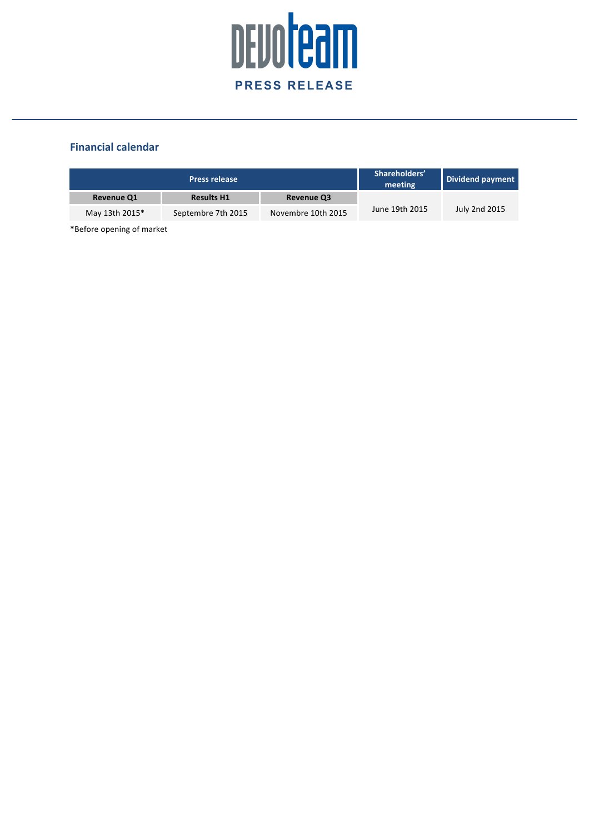

## **Financial calendar**

|                   | <b>Press release</b> | Shareholders'<br>meeting | Dividend payment |               |
|-------------------|----------------------|--------------------------|------------------|---------------|
| <b>Revenue Q1</b> | <b>Results H1</b>    | <b>Revenue Q3</b>        |                  |               |
| May 13th 2015*    | Septembre 7th 2015   | Novembre 10th 2015       | June 19th 2015   | July 2nd 2015 |

\*Before opening of market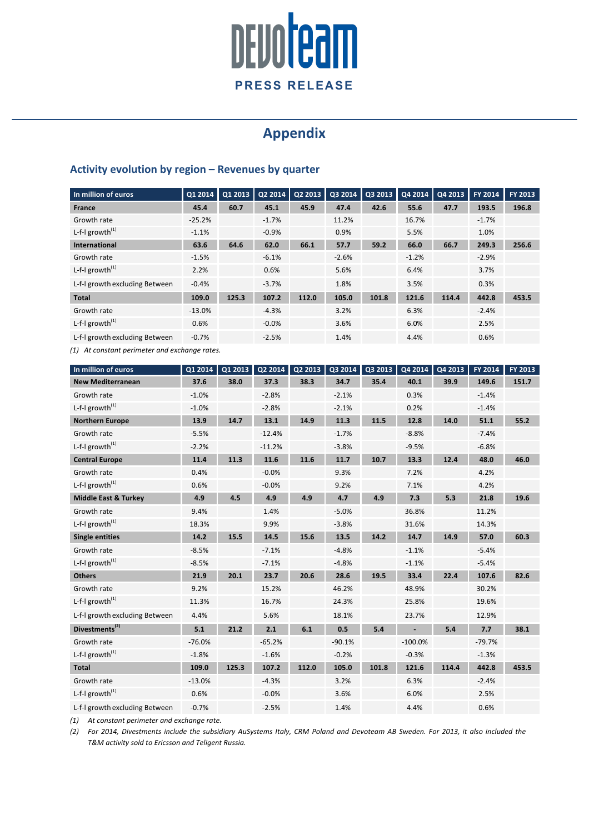# DEVOTeam **PRESS RELEASE**

## **Appendix**

## **Activity evolution by region – Revenues by quarter**

| In million of euros            | Q1 2014  | Q1 2013 | Q2 2014 | Q2 2013 | Q3 2014 | Q3 2013 | Q42014  | Q4 2013 | FY 2014 | FY 2013 |
|--------------------------------|----------|---------|---------|---------|---------|---------|---------|---------|---------|---------|
| <b>France</b>                  | 45.4     | 60.7    | 45.1    | 45.9    | 47.4    | 42.6    | 55.6    | 47.7    | 193.5   | 196.8   |
| Growth rate                    | $-25.2%$ |         | $-1.7%$ |         | 11.2%   |         | 16.7%   |         | $-1.7%$ |         |
| L-f-I growth $^{(1)}$          | $-1.1%$  |         | $-0.9%$ |         | 0.9%    |         | 5.5%    |         | 1.0%    |         |
| <b>International</b>           | 63.6     | 64.6    | 62.0    | 66.1    | 57.7    | 59.2    | 66.0    | 66.7    | 249.3   | 256.6   |
| Growth rate                    | $-1.5%$  |         | $-6.1%$ |         | $-2.6%$ |         | $-1.2%$ |         | $-2.9%$ |         |
| L-f-I growth $^{(1)}$          | 2.2%     |         | 0.6%    |         | 5.6%    |         | 6.4%    |         | 3.7%    |         |
| L-f-I growth excluding Between | $-0.4%$  |         | $-3.7%$ |         | 1.8%    |         | 3.5%    |         | 0.3%    |         |
| <b>Total</b>                   | 109.0    | 125.3   | 107.2   | 112.0   | 105.0   | 101.8   | 121.6   | 114.4   | 442.8   | 453.5   |
| Growth rate                    | $-13.0%$ |         | $-4.3%$ |         | 3.2%    |         | 6.3%    |         | $-2.4%$ |         |
| L-f-I growth $^{(1)}$          | 0.6%     |         | $-0.0%$ |         | 3.6%    |         | 6.0%    |         | 2.5%    |         |
| L-f-I growth excluding Between | $-0.7%$  |         | $-2.5%$ |         | 1.4%    |         | 4.4%    |         | 0.6%    |         |

*(1)* At constant perimeter and exchange rates.

| In million of euros             | Q1 2014  | Q1 2013 | Q2 2014  | Q2 2013 | Q3 2014  | Q3 2013 | Q4 2014   | Q4 2013 | FY 2014  | FY 2013 |
|---------------------------------|----------|---------|----------|---------|----------|---------|-----------|---------|----------|---------|
| <b>New Mediterranean</b>        | 37.6     | 38.0    | 37.3     | 38.3    | 34.7     | 35.4    | 40.1      | 39.9    | 149.6    | 151.7   |
| Growth rate                     | $-1.0%$  |         | $-2.8%$  |         | $-2.1%$  |         | 0.3%      |         | $-1.4%$  |         |
| L-f- $l$ growth <sup>(1)</sup>  | $-1.0%$  |         | $-2.8%$  |         | $-2.1%$  |         | 0.2%      |         | $-1.4%$  |         |
| <b>Northern Europe</b>          | 13.9     | 14.7    | 13.1     | 14.9    | 11.3     | 11.5    | 12.8      | 14.0    | 51.1     | 55.2    |
| Growth rate                     | $-5.5%$  |         | $-12.4%$ |         | $-1.7%$  |         | $-8.8%$   |         | $-7.4%$  |         |
| L-f-I growth <sup>(1)</sup>     | $-2.2%$  |         | $-11.2%$ |         | $-3.8%$  |         | $-9.5%$   |         | $-6.8%$  |         |
| <b>Central Europe</b>           | 11.4     | 11.3    | 11.6     | 11.6    | 11.7     | 10.7    | 13.3      | 12.4    | 48.0     | 46.0    |
| Growth rate                     | 0.4%     |         | $-0.0%$  |         | 9.3%     |         | 7.2%      |         | 4.2%     |         |
| L-f-I growth $^{(1)}$           | 0.6%     |         | $-0.0%$  |         | 9.2%     |         | 7.1%      |         | 4.2%     |         |
| <b>Middle East &amp; Turkey</b> | 4.9      | 4.5     | 4.9      | 4.9     | 4.7      | 4.9     | 7.3       | 5.3     | 21.8     | 19.6    |
| Growth rate                     | 9.4%     |         | 1.4%     |         | $-5.0%$  |         | 36.8%     |         | 11.2%    |         |
| L-f-I growth $^{(1)}$           | 18.3%    |         | 9.9%     |         | $-3.8%$  |         | 31.6%     |         | 14.3%    |         |
| <b>Single entities</b>          | 14.2     | 15.5    | 14.5     | 15.6    | 13.5     | 14.2    | 14.7      | 14.9    | 57.0     | 60.3    |
| Growth rate                     | $-8.5%$  |         | $-7.1%$  |         | $-4.8%$  |         | $-1.1%$   |         | $-5.4%$  |         |
| L-f- $l$ growth <sup>(1)</sup>  | $-8.5%$  |         | $-7.1%$  |         | $-4.8%$  |         | $-1.1%$   |         | $-5.4%$  |         |
| <b>Others</b>                   | 21.9     | 20.1    | 23.7     | 20.6    | 28.6     | 19.5    | 33.4      | 22.4    | 107.6    | 82.6    |
| Growth rate                     | 9.2%     |         | 15.2%    |         | 46.2%    |         | 48.9%     |         | 30.2%    |         |
| L-f- $l$ growth <sup>(1)</sup>  | 11.3%    |         | 16.7%    |         | 24.3%    |         | 25.8%     |         | 19.6%    |         |
| L-f-I growth excluding Between  | 4.4%     |         | 5.6%     |         | 18.1%    |         | 23.7%     |         | 12.9%    |         |
| Divestments <sup>(2)</sup>      | 5.1      | 21.2    | 2.1      | 6.1     | 0.5      | 5.4     |           | 5.4     | 7.7      | 38.1    |
| Growth rate                     | $-76.0%$ |         | $-65.2%$ |         | $-90.1%$ |         | $-100.0%$ |         | $-79.7%$ |         |
| L-f- $l$ growth <sup>(1)</sup>  | $-1.8%$  |         | $-1.6%$  |         | $-0.2%$  |         | $-0.3%$   |         | $-1.3%$  |         |
| <b>Total</b>                    | 109.0    | 125.3   | 107.2    | 112.0   | 105.0    | 101.8   | 121.6     | 114.4   | 442.8    | 453.5   |
| Growth rate                     | $-13.0%$ |         | $-4.3%$  |         | 3.2%     |         | 6.3%      |         | $-2.4%$  |         |
| L-f-I growth $^{(1)}$           | 0.6%     |         | $-0.0%$  |         | 3.6%     |         | 6.0%      |         | 2.5%     |         |
| L-f-I growth excluding Between  | $-0.7%$  |         | $-2.5%$  |         | 1.4%     |         | 4.4%      |         | 0.6%     |         |

*(1)* At constant perimeter and exchange rate.

(2) For 2014, Divestments include the subsidiary AuSystems Italy, CRM Poland and Devoteam AB Sweden. For 2013, it also included the *T&M activity sold to Ericsson and Teligent Russia.*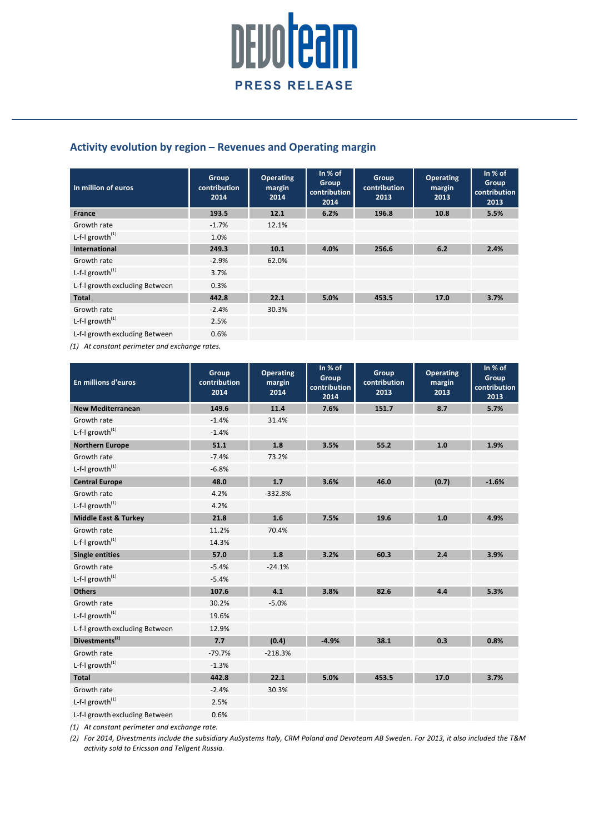

## Activity evolution by region – Revenues and Operating margin

| In million of euros            | Group<br>contribution<br>2014 | <b>Operating</b><br>margin<br>2014 | In $%$ of<br><b>Group</b><br>contribution<br>2014 | Group<br>contribution<br>2013 | <b>Operating</b><br>margin<br>2013 | In $%$ of<br>Group<br>contribution<br>2013 |
|--------------------------------|-------------------------------|------------------------------------|---------------------------------------------------|-------------------------------|------------------------------------|--------------------------------------------|
| <b>France</b>                  | 193.5                         | 12.1                               | 6.2%                                              | 196.8                         | 10.8                               | 5.5%                                       |
| Growth rate                    | $-1.7%$                       | 12.1%                              |                                                   |                               |                                    |                                            |
| L-f-I growth $^{(1)}$          | 1.0%                          |                                    |                                                   |                               |                                    |                                            |
| <b>International</b>           | 249.3                         | 10.1                               | 4.0%                                              | 256.6                         | 6.2                                | 2.4%                                       |
| Growth rate                    | $-2.9%$                       | 62.0%                              |                                                   |                               |                                    |                                            |
| L-f-I growth $^{(1)}$          | 3.7%                          |                                    |                                                   |                               |                                    |                                            |
| L-f-I growth excluding Between | 0.3%                          |                                    |                                                   |                               |                                    |                                            |
| <b>Total</b>                   | 442.8                         | 22.1                               | 5.0%                                              | 453.5                         | 17.0                               | 3.7%                                       |
| Growth rate                    | $-2.4%$                       | 30.3%                              |                                                   |                               |                                    |                                            |
| L-f-I growth $^{(1)}$          | 2.5%                          |                                    |                                                   |                               |                                    |                                            |
| L-f-I growth excluding Between | 0.6%                          |                                    |                                                   |                               |                                    |                                            |

*(1)* At constant perimeter and exchange rates.

| <b>En millions d'euros</b>                  | Group<br>contribution<br>2014 | <b>Operating</b><br>margin<br>2014 | In % of<br>Group<br>contribution<br>2014 | Group<br>contribution<br>2013 | <b>Operating</b><br>margin<br>2013 | In % of<br>Group<br>contribution<br>2013 |
|---------------------------------------------|-------------------------------|------------------------------------|------------------------------------------|-------------------------------|------------------------------------|------------------------------------------|
| <b>New Mediterranean</b>                    | 149.6                         | 11.4                               | 7.6%                                     | 151.7                         | 8.7                                | 5.7%                                     |
| Growth rate                                 | $-1.4%$                       | 31.4%                              |                                          |                               |                                    |                                          |
| L-f- $I$ growth <sup>(1)</sup>              | $-1.4%$                       |                                    |                                          |                               |                                    |                                          |
| <b>Northern Europe</b>                      | 51.1                          | 1.8                                | 3.5%                                     | 55.2                          | 1.0                                | 1.9%                                     |
| Growth rate                                 | $-7.4%$                       | 73.2%                              |                                          |                               |                                    |                                          |
| L-f- $l$ growth <sup><math>(1)</math></sup> | $-6.8%$                       |                                    |                                          |                               |                                    |                                          |
| <b>Central Europe</b>                       | 48.0                          | 1.7                                | 3.6%                                     | 46.0                          | (0.7)                              | $-1.6%$                                  |
| Growth rate                                 | 4.2%                          | $-332.8%$                          |                                          |                               |                                    |                                          |
| L-f-I growth <sup>(1)</sup>                 | 4.2%                          |                                    |                                          |                               |                                    |                                          |
| <b>Middle East &amp; Turkey</b>             | 21.8                          | 1.6                                | 7.5%                                     | 19.6                          | 1.0                                | 4.9%                                     |
| Growth rate                                 | 11.2%                         | 70.4%                              |                                          |                               |                                    |                                          |
| L-f- $l$ growth <sup>(1)</sup>              | 14.3%                         |                                    |                                          |                               |                                    |                                          |
| <b>Single entities</b>                      | 57.0                          | 1.8                                | 3.2%                                     | 60.3                          | 2.4                                | 3.9%                                     |
| Growth rate                                 | $-5.4%$                       | $-24.1%$                           |                                          |                               |                                    |                                          |
| L-f- $l$ growth <sup><math>(1)</math></sup> | $-5.4%$                       |                                    |                                          |                               |                                    |                                          |
| <b>Others</b>                               | 107.6                         | 4.1                                | 3.8%                                     | 82.6                          | 4.4                                | 5.3%                                     |
| Growth rate                                 | 30.2%                         | $-5.0%$                            |                                          |                               |                                    |                                          |
| L-f-I growth $^{(1)}$                       | 19.6%                         |                                    |                                          |                               |                                    |                                          |
| L-f-I growth excluding Between              | 12.9%                         |                                    |                                          |                               |                                    |                                          |
| Divestments <sup>(2)</sup>                  | 7.7                           | (0.4)                              | $-4.9%$                                  | 38.1                          | 0.3                                | 0.8%                                     |
| Growth rate                                 | $-79.7%$                      | $-218.3%$                          |                                          |                               |                                    |                                          |
| L-f-I growth $^{(1)}$                       | $-1.3%$                       |                                    |                                          |                               |                                    |                                          |
| <b>Total</b>                                | 442.8                         | 22.1                               | 5.0%                                     | 453.5                         | 17.0                               | 3.7%                                     |
| Growth rate                                 | $-2.4%$                       | 30.3%                              |                                          |                               |                                    |                                          |
| L-f-I growth <sup>(1)</sup>                 | 2.5%                          |                                    |                                          |                               |                                    |                                          |
| L-f-I growth excluding Between              | 0.6%                          |                                    |                                          |                               |                                    |                                          |

*(1)* At constant perimeter and exchange rate.

*(2) For 2014, Divestments include the subsidiary AuSystems Italy, CRM Poland and Devoteam AB Sweden. For 2013, it also included the T&M activity sold to Ericsson and Teligent Russia.*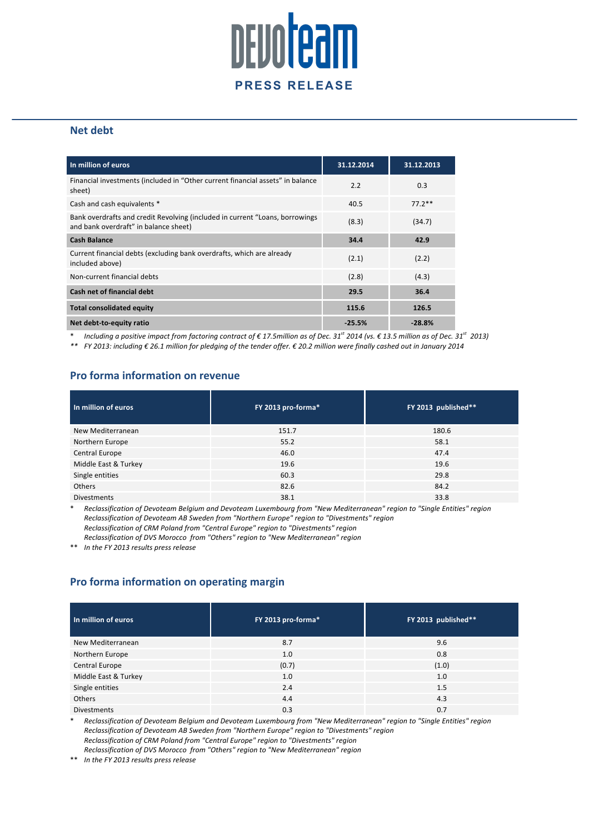

### **Net debt**

| In million of euros                                                                                                   | 31.12.2014 | 31.12.2013 |
|-----------------------------------------------------------------------------------------------------------------------|------------|------------|
| Financial investments (included in "Other current financial assets" in balance<br>sheet)                              | 2.2        | 0.3        |
| Cash and cash equivalents *                                                                                           | 40.5       | $77.2**$   |
| Bank overdrafts and credit Revolving (included in current "Loans, borrowings<br>and bank overdraft" in balance sheet) | (8.3)      | (34.7)     |
| <b>Cash Balance</b>                                                                                                   | 34.4       | 42.9       |
| Current financial debts (excluding bank overdrafts, which are already<br>included above)                              | (2.1)      | (2.2)      |
| Non-current financial debts                                                                                           | (2.8)      | (4.3)      |
| Cash net of financial debt                                                                                            | 29.5       | 36.4       |
| <b>Total consolidated equity</b>                                                                                      | 115.6      | 126.5      |
| Net debt-to-equity ratio                                                                                              | $-25.5%$   | $-28.8%$   |

\* *Including a positive impact from factoring contract of € 17.5million as of Dec. 31 st 2014 (vs. € 13.5 million as of Dec. 31st 2013)*

*\*\* FY 2013: including € 26.1 million for pledging of the tender offer. € 20.2 million were finally cashed out in January 2014*

## **Pro forma information on revenue**

| In million of euros  | FY 2013 pro-forma* | FY 2013 published** |
|----------------------|--------------------|---------------------|
| New Mediterranean    | 151.7              | 180.6               |
| Northern Europe      | 55.2               | 58.1                |
| Central Europe       | 46.0               | 47.4                |
| Middle East & Turkey | 19.6               | 19.6                |
| Single entities      | 60.3               | 29.8                |
| <b>Others</b>        | 82.6               | 84.2                |
| <b>Divestments</b>   | 38.1               | 33.8                |

\* *Reclassification of Devoteam Belgium and Devoteam Luxembourg from "New Mediterranean" region to "Single Entities" region Reclassification of Devoteam AB Sweden from "Northern Europe" region to "Divestments" region Reclassification of CRM Poland from "Central Europe" region to "Divestments" region*

*Reclassification of DVS Morocco from "Others" region to "New Mediterranean" region*

\*\* In the FY 2013 results press release

## **Pro forma information on operating margin**

| In million of euros  | FY 2013 pro-forma* | FY 2013 published** |
|----------------------|--------------------|---------------------|
| New Mediterranean    | 8.7                | 9.6                 |
| Northern Europe      | 1.0                | 0.8                 |
| Central Europe       | (0.7)              | (1.0)               |
| Middle East & Turkey | 1.0                | 1.0                 |
| Single entities      | 2.4                | 1.5                 |
| <b>Others</b>        | 4.4                | 4.3                 |
| <b>Divestments</b>   | 0.3                | 0.7                 |

\* *Reclassification of Devoteam Belgium and Devoteam Luxembourg from "New Mediterranean" region to "Single Entities" region Reclassification of Devoteam AB Sweden from "Northern Europe" region to "Divestments" region Reclassification of CRM Poland from "Central Europe" region to "Divestments" region*

*Reclassification of DVS Morocco from "Others" region to "New Mediterranean" region*

\*\* *In the FY 2013 results press release*